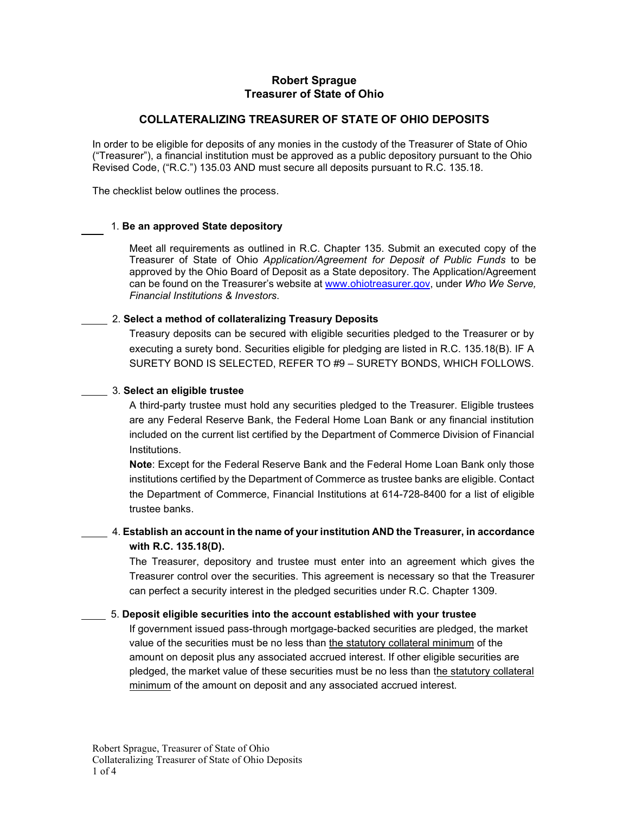# **Robert Sprague Treasurer of State of Ohio**

## **COLLATERALIZING TREASURER OF STATE OF OHIO DEPOSITS**

In order to be eligible for deposits of any monies in the custody of the Treasurer of State of Ohio ("Treasurer"), a financial institution must be approved as a public depository pursuant to the Ohio Revised Code, ("R.C.") 135.03 AND must secure all deposits pursuant to R.C. 135.18.

The checklist below outlines the process.

### 1. **Be an approved State depository**

Meet all requirements as outlined in R.C. Chapter 135. Submit an executed copy of the Treasurer of State of Ohio *Application/Agreement for Deposit of Public Funds* to be approved by the Ohio Board of Deposit as a State depository. The Application/Agreement can be found on the Treasurer's website a[t www.ohiotreasurer.gov, u](http://www.ohiotreasurer.gov/)nder *Who We Serve, Financial Institutions & Investors*.

### 2. **Select a method of collateralizing Treasury Deposits**

Treasury deposits can be secured with eligible securities pledged to the Treasurer or by executing a surety bond. Securities eligible for pledging are listed in R.C. 135.18(B). IF A SURETY BOND IS SELECTED, REFER TO #9 – SURETY BONDS, WHICH FOLLOWS.

### 3. **Select an eligible trustee**

A third-party trustee must hold any securities pledged to the Treasurer. Eligible trustees are any Federal Reserve Bank, the Federal Home Loan Bank or any financial institution included on the current list certified by the Department of Commerce Division of Financial Institutions.

**Note**: Except for the Federal Reserve Bank and the Federal Home Loan Bank only those institutions certified by the Department of Commerce as trustee banks are eligible. Contact the Department of Commerce, Financial Institutions at 614-728-8400 for a list of eligible trustee banks.

# 4. **Establish an account in the name of your institution AND the Treasurer, in accordance with R.C. 135.18(D).**

The Treasurer, depository and trustee must enter into an agreement which gives the Treasurer control over the securities. This agreement is necessary so that the Treasurer can perfect a security interest in the pledged securities under R.C. Chapter 1309.

## 5. **Deposit eligible securities into the account established with your trustee**

If government issued pass-through mortgage-backed securities are pledged, the market value of the securities must be no less than the statutory collateral minimum of the amount on deposit plus any associated accrued interest. If other eligible securities are pledged, the market value of these securities must be no less than the statutory collateral minimum of the amount on deposit and any associated accrued interest.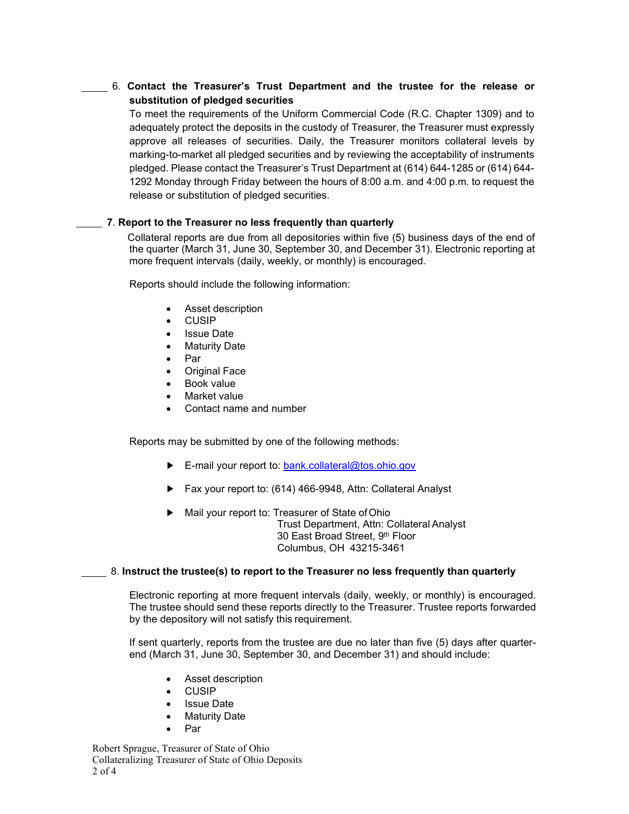6. **Contact the Treasurer's Trust Department and the trustee for the release or substitution of pledged securities**

To meet the requirements of the Uniform Commercial Code (R.C. Chapter 1309) and to adequately protect the deposits in the custody of Treasurer, the Treasurer must expressly approve all releases of securities. Daily, the Treasurer monitors collateral levels by marking-to-market all pledged securities and by reviewing the acceptability of instruments pledged. Please contact the Treasurer's Trust Department at (614) 644-1285 or (614) 644- 1292 Monday through Friday between the hours of 8:00 a.m. and 4:00 p.m. to request the release or substitution of pledged securities.

### **7**. **Report to the Treasurer no less frequently than quarterly**

 Collateral reports are due from all depositories within five (5) business days of the end of the quarter (March 31, June 30, September 30, and December 31). Electronic reporting at more frequent intervals (daily, weekly, or monthly) is encouraged.

Reports should include the following information:

- Asset description
- CUSIP
- **Issue Date**
- **Maturity Date**
- Par
- Original Face
- Book value
- Market value
- Contact name and number

Reports may be submitted by one of the following methods:

- ► E-mail your report to: [bank.collateral@tos.ohio.gov](mailto:bank.collateral@tos.ohio.gov)
- ► Fax your report to: (614) 466-9948, Attn: Collateral Analyst
- ► Mail your report to: Treasurer of State ofOhio Trust Department, Attn: Collateral Analyst 30 East Broad Street, 9th Floor Columbus, OH 43215-3461

### 8. **Instruct the trustee(s) to report to the Treasurer no less frequently than quarterly**

Electronic reporting at more frequent intervals (daily, weekly, or monthly) is encouraged. The trustee should send these reports directly to the Treasurer. Trustee reports forwarded by the depository will not satisfy this requirement.

If sent quarterly, reports from the trustee are due no later than five (5) days after quarterend (March 31, June 30, September 30, and December 31) and should include:

- Asset description
- CUSIP
- **Issue Date**
- **Maturity Date**
- Par

Robert Sprague, Treasurer of State of Ohio Collateralizing Treasurer of State of Ohio Deposits 2 of 4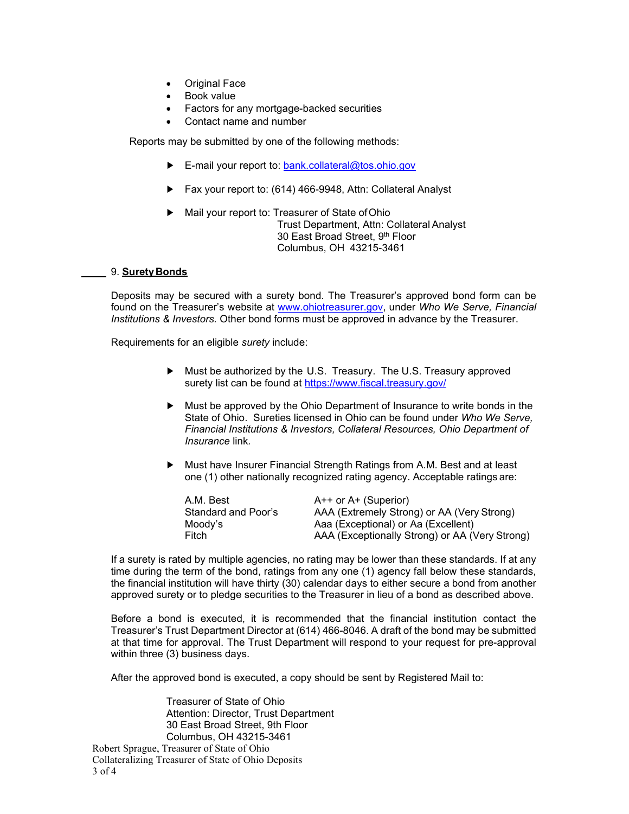- Original Face
- Book value
- Factors for any mortgage-backed securities
- Contact name and number

Reports may be submitted by one of the following methods:

- ► E-mail your report to: [bank.collateral@tos.ohio.gov](mailto:bank.collateral@tos.ohio.gov)
- ► Fax your report to: (614) 466-9948, Attn: Collateral Analyst
- ► Mail your report to: Treasurer of State ofOhio Trust Department, Attn: Collateral Analyst 30 East Broad Street, 9th Floor Columbus, OH 43215-3461

### 9. **SuretyBonds**

Deposits may be secured with a surety bond. The Treasurer's approved bond form can be found on the Treasurer's website at [www.ohiotreasurer.gov, u](http://www.ohiotreasurer.gov/)nder *Who We Serve, Financial Institutions & Investors.* Other bond forms must be approved in advance by the Treasurer.

Requirements for an eligible *surety* include:

- ► Must be authorized by the U.S. Treasury. The U.S. Treasury approved surety list can be found at <https://www.fiscal.treasury.gov/>
- ► Must be approved by the Ohio Department of Insurance to write bonds in the State of Ohio. Sureties licensed in Ohio can be found under *Who We Serve, Financial Institutions & Investors, Collateral Resources, Ohio Department of Insurance* link*.*
- ► Must have Insurer Financial Strength Ratings from A.M. Best and at least one (1) other nationally recognized rating agency. Acceptable ratings are:

| A.M. Best           | $A++$ or $A+$ (Superior)                       |
|---------------------|------------------------------------------------|
| Standard and Poor's | AAA (Extremely Strong) or AA (Very Strong)     |
| Moodv's             | Aaa (Exceptional) or Aa (Excellent)            |
| Fitch               | AAA (Exceptionally Strong) or AA (Very Strong) |

If a surety is rated by multiple agencies, no rating may be lower than these standards. If at any time during the term of the bond, ratings from any one (1) agency fall below these standards, the financial institution will have thirty (30) calendar days to either secure a bond from another approved surety or to pledge securities to the Treasurer in lieu of a bond as described above.

Before a bond is executed, it is recommended that the financial institution contact the Treasurer's Trust Department Director at (614) 466-8046. A draft of the bond may be submitted at that time for approval. The Trust Department will respond to your request for pre-approval within three (3) business days.

After the approved bond is executed, a copy should be sent by Registered Mail to:

Robert Sprague, Treasurer of State of Ohio Collateralizing Treasurer of State of Ohio Deposits 3 of 4 Treasurer of State of Ohio Attention: Director, Trust Department 30 East Broad Street, 9th Floor Columbus, OH 43215-3461